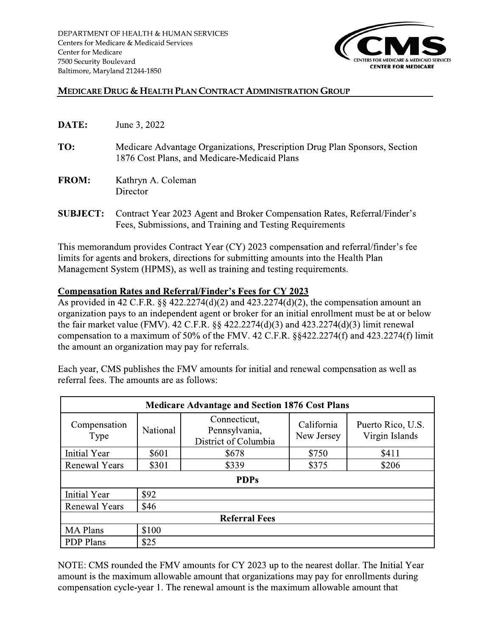

## **MEDICARE DRUG & HEALTH PLAN CONTRACT ADMINISTRATION GROUP**

| DATE:        | June 3, 2022                                                                                                               |
|--------------|----------------------------------------------------------------------------------------------------------------------------|
| TO:          | Medicare Advantage Organizations, Prescription Drug Plan Sponsors, Section<br>1876 Cost Plans, and Medicare-Medicaid Plans |
| <b>FROM:</b> | Kathryn A. Coleman<br>Director                                                                                             |

**SUBJECT:** Contract Year 2023 Agent and Broker Compensation Rates, Referral/Finder's Fees, Submissions, and Training and Testing Requirements

This memorandum provides Contract Year (CY) 2023 compensation and referral/finder's fee limits for agents and brokers, directions for submitting amounts into the Health Plan Management System (HPMS), as well as training and testing requirements.

## **Compensation Rates and Referral/Finder's Fees for CY 2023**

As provided in 42 C.F.R. §§ 422.2274(d)(2) and 423.2274(d)(2), the compensation amount an organization pays to an independent agent or broker for an initial enrollment must be at or below the fair market value (FMV). 42 C.F.R.  $\S$  422.2274(d)(3) and 423.2274(d)(3) limit renewal compensation to a maximum of 50% of the FMV. 42 C.F.R. §§422.2274(f) and 423.2274(f) limit the amount an organization may pay for referrals.

Each year, CMS publishes the FMV amounts for initial and renewal compensation as well as referral fees. The amounts are as follows:

| <b>Medicare Advantage and Section 1876 Cost Plans</b> |          |                                                       |                          |                                     |  |  |
|-------------------------------------------------------|----------|-------------------------------------------------------|--------------------------|-------------------------------------|--|--|
| Compensation<br>Type                                  | National | Connecticut,<br>Pennsylvania,<br>District of Columbia | California<br>New Jersey | Puerto Rico, U.S.<br>Virgin Islands |  |  |
| Initial Year                                          | \$601    | \$678                                                 | \$750                    | \$411                               |  |  |
| <b>Renewal Years</b>                                  | \$301    | \$339                                                 | \$375                    | \$206                               |  |  |
| <b>PDPs</b>                                           |          |                                                       |                          |                                     |  |  |
| Initial Year                                          | \$92     |                                                       |                          |                                     |  |  |
| Renewal Years<br>\$46                                 |          |                                                       |                          |                                     |  |  |
| <b>Referral Fees</b>                                  |          |                                                       |                          |                                     |  |  |
| <b>MA</b> Plans                                       | \$100    |                                                       |                          |                                     |  |  |
| <b>PDP</b> Plans                                      | \$25     |                                                       |                          |                                     |  |  |

NOTE: CMS rounded the FMV amounts for CY 2023 up to the nearest dollar. The Initial Year amount is the maximum allowable amount that organizations may pay for enrollments during compensation cycle-year 1. The renewal amount is the maximum allowable amount that